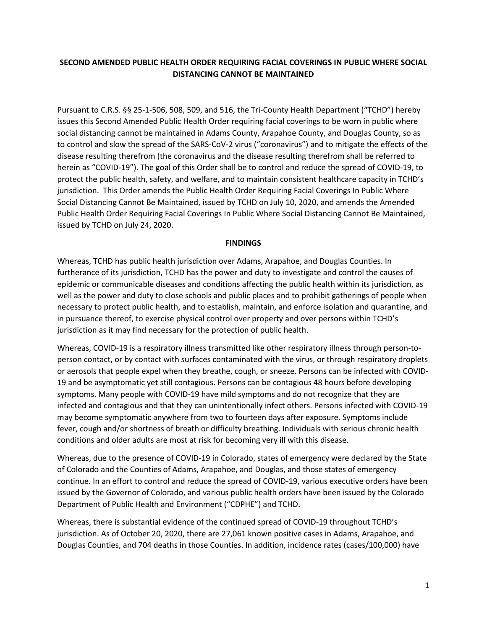# **SECOND AMENDED PUBLIC HEALTH ORDER REQUIRING FACIAL COVERINGS IN PUBLIC WHERE SOCIAL DISTANCING CANNOT BE MAINTAINED**

Pursuant to C.R.S. §§ 25-1-506, 508, 509, and 516, the Tri-County Health Department ("TCHD") hereby issues this Second Amended Public Health Order requiring facial coverings to be worn in public where social distancing cannot be maintained in Adams County, Arapahoe County, and Douglas County, so as to control and slow the spread of the SARS-CoV-2 virus ("coronavirus") and to mitigate the effects of the disease resulting therefrom (the coronavirus and the disease resulting therefrom shall be referred to herein as "COVID-19"). The goal of this Order shall be to control and reduce the spread of COVID-19, to protect the public health, safety, and welfare, and to maintain consistent healthcare capacity in TCHD's jurisdiction. This Order amends the Public Health Order Requiring Facial Coverings In Public Where Social Distancing Cannot Be Maintained, issued by TCHD on July 10, 2020, and amends the Amended Public Health Order Requiring Facial Coverings In Public Where Social Distancing Cannot Be Maintained, issued by TCHD on July 24, 2020.

#### **FINDINGS**

Whereas, TCHD has public health jurisdiction over Adams, Arapahoe, and Douglas Counties. In furtherance of its jurisdiction, TCHD has the power and duty to investigate and control the causes of epidemic or communicable diseases and conditions affecting the public health within its jurisdiction, as well as the power and duty to close schools and public places and to prohibit gatherings of people when necessary to protect public health, and to establish, maintain, and enforce isolation and quarantine, and in pursuance thereof, to exercise physical control over property and over persons within TCHD's jurisdiction as it may find necessary for the protection of public health.

Whereas, COVID-19 is a respiratory illness transmitted like other respiratory illness through person-toperson contact, or by contact with surfaces contaminated with the virus, or through respiratory droplets or aerosols that people expel when they breathe, cough, or sneeze. Persons can be infected with COVID-19 and be asymptomatic yet still contagious. Persons can be contagious 48 hours before developing symptoms. Many people with COVID-19 have mild symptoms and do not recognize that they are infected and contagious and that they can unintentionally infect others. Persons infected with COVID-19 may become symptomatic anywhere from two to fourteen days after exposure. Symptoms include fever, cough and/or shortness of breath or difficulty breathing. Individuals with serious chronic health conditions and older adults are most at risk for becoming very ill with this disease.

Whereas, due to the presence of COVID-19 in Colorado, states of emergency were declared by the State of Colorado and the Counties of Adams, Arapahoe, and Douglas, and those states of emergency continue. In an effort to control and reduce the spread of COVID-19, various executive orders have been issued by the Governor of Colorado, and various public health orders have been issued by the Colorado Department of Public Health and Environment ("CDPHE") and TCHD.

Whereas, there is substantial evidence of the continued spread of COVID-19 throughout TCHD's jurisdiction. As of October 20, 2020, there are 27,061 known positive cases in Adams, Arapahoe, and Douglas Counties, and 704 deaths in those Counties. In addition, incidence rates (cases/100,000) have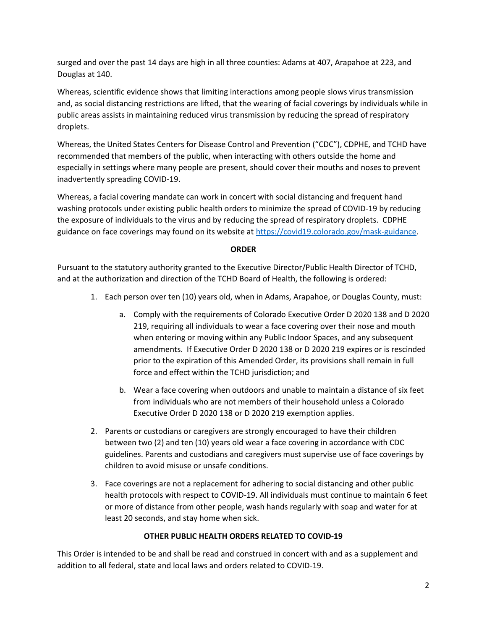surged and over the past 14 days are high in all three counties: Adams at 407, Arapahoe at 223, and Douglas at 140.

Whereas, scientific evidence shows that limiting interactions among people slows virus transmission and, as social distancing restrictions are lifted, that the wearing of facial coverings by individuals while in public areas assists in maintaining reduced virus transmission by reducing the spread of respiratory droplets.

Whereas, the United States Centers for Disease Control and Prevention ("CDC"), CDPHE, and TCHD have recommended that members of the public, when interacting with others outside the home and especially in settings where many people are present, should cover their mouths and noses to prevent inadvertently spreading COVID-19.

Whereas, a facial covering mandate can work in concert with social distancing and frequent hand washing protocols under existing public health orders to minimize the spread of COVID-19 by reducing the exposure of individuals to the virus and by reducing the spread of respiratory droplets. CDPHE guidance on face coverings may found on its website at [https://covid19.colorado.gov/mask-guidance.](https://covid19.colorado.gov/mask-guidance)

# **ORDER**

Pursuant to the statutory authority granted to the Executive Director/Public Health Director of TCHD, and at the authorization and direction of the TCHD Board of Health, the following is ordered:

- 1. Each person over ten (10) years old, when in Adams, Arapahoe, or Douglas County, must:
	- a. Comply with the requirements of Colorado Executive Order D 2020 138 and D 2020 219, requiring all individuals to wear a face covering over their nose and mouth when entering or moving within any Public Indoor Spaces, and any subsequent amendments. If Executive Order D 2020 138 or D 2020 219 expires or is rescinded prior to the expiration of this Amended Order, its provisions shall remain in full force and effect within the TCHD jurisdiction; and
	- b. Wear a face covering when outdoors and unable to maintain a distance of six feet from individuals who are not members of their household unless a Colorado Executive Order D 2020 138 or D 2020 219 exemption applies.
- 2. Parents or custodians or caregivers are strongly encouraged to have their children between two (2) and ten (10) years old wear a face covering in accordance with CDC guidelines. Parents and custodians and caregivers must supervise use of face coverings by children to avoid misuse or unsafe conditions.
- 3. Face coverings are not a replacement for adhering to social distancing and other public health protocols with respect to COVID-19. All individuals must continue to maintain 6 feet or more of distance from other people, wash hands regularly with soap and water for at least 20 seconds, and stay home when sick.

# **OTHER PUBLIC HEALTH ORDERS RELATED TO COVID-19**

This Order is intended to be and shall be read and construed in concert with and as a supplement and addition to all federal, state and local laws and orders related to COVID-19.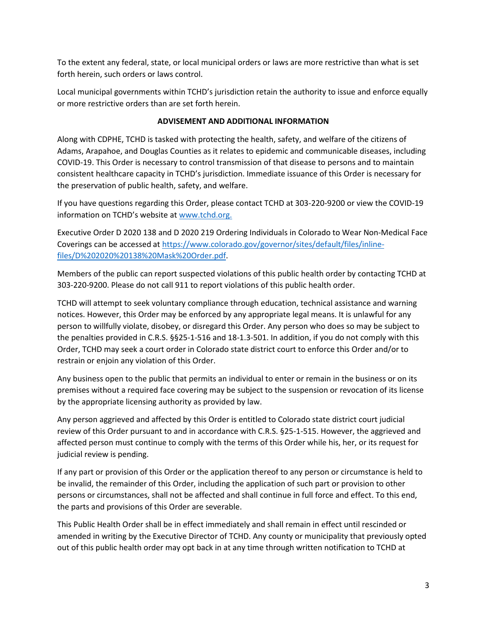To the extent any federal, state, or local municipal orders or laws are more restrictive than what is set forth herein, such orders or laws control.

Local municipal governments within TCHD's jurisdiction retain the authority to issue and enforce equally or more restrictive orders than are set forth herein.

# **ADVISEMENT AND ADDITIONAL INFORMATION**

Along with CDPHE, TCHD is tasked with protecting the health, safety, and welfare of the citizens of Adams, Arapahoe, and Douglas Counties as it relates to epidemic and communicable diseases, including COVID-19. This Order is necessary to control transmission of that disease to persons and to maintain consistent healthcare capacity in TCHD's jurisdiction. Immediate issuance of this Order is necessary for the preservation of public health, safety, and welfare.

If you have questions regarding this Order, please contact TCHD at 303-220-9200 or view the COVID-19 information on TCHD's website at [www.tchd.org.](http://www.tchd.org/)

Executive Order D 2020 138 and D 2020 219 Ordering Individuals in Colorado to Wear Non-Medical Face Coverings can be accessed at [https://www.colorado.gov/governor/sites/default/files/inline](https://www.colorado.gov/governor/sites/default/files/inline-files/D%202020%20138%20Mask%20Order.pdf)[files/D%202020%20138%20Mask%20Order.pdf.](https://www.colorado.gov/governor/sites/default/files/inline-files/D%202020%20138%20Mask%20Order.pdf)

Members of the public can report suspected violations of this public health order by contacting TCHD at 303-220-9200. Please do not call 911 to report violations of this public health order.

TCHD will attempt to seek voluntary compliance through education, technical assistance and warning notices. However, this Order may be enforced by any appropriate legal means. It is unlawful for any person to willfully violate, disobey, or disregard this Order. Any person who does so may be subject to the penalties provided in C.R.S. §§25-1-516 and 18-1.3-501. In addition, if you do not comply with this Order, TCHD may seek a court order in Colorado state district court to enforce this Order and/or to restrain or enjoin any violation of this Order.

Any business open to the public that permits an individual to enter or remain in the business or on its premises without a required face covering may be subject to the suspension or revocation of its license by the appropriate licensing authority as provided by law.

Any person aggrieved and affected by this Order is entitled to Colorado state district court judicial review of this Order pursuant to and in accordance with C.R.S. §25-1-515. However, the aggrieved and affected person must continue to comply with the terms of this Order while his, her, or its request for judicial review is pending.

If any part or provision of this Order or the application thereof to any person or circumstance is held to be invalid, the remainder of this Order, including the application of such part or provision to other persons or circumstances, shall not be affected and shall continue in full force and effect. To this end, the parts and provisions of this Order are severable.

This Public Health Order shall be in effect immediately and shall remain in effect until rescinded or amended in writing by the Executive Director of TCHD. Any county or municipality that previously opted out of this public health order may opt back in at any time through written notification to TCHD at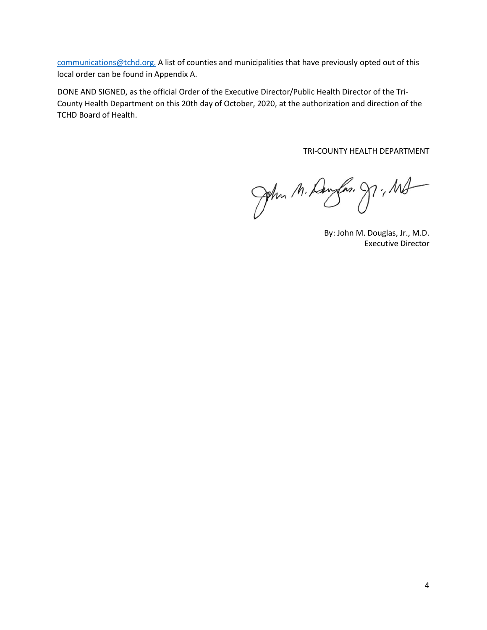[communications@tchd.org.](mailto:communications@tchd.org) A list of counties and municipalities that have previously opted out of this local order can be found in Appendix A.

DONE AND SIGNED, as the official Order of the Executive Director/Public Health Director of the Tri-County Health Department on this 20th day of October, 2020, at the authorization and direction of the TCHD Board of Health.

TRI-COUNTY HEALTH DEPARTMENT

John M. Daugher. J., Md

By: John M. Douglas, Jr., M.D. Executive Director